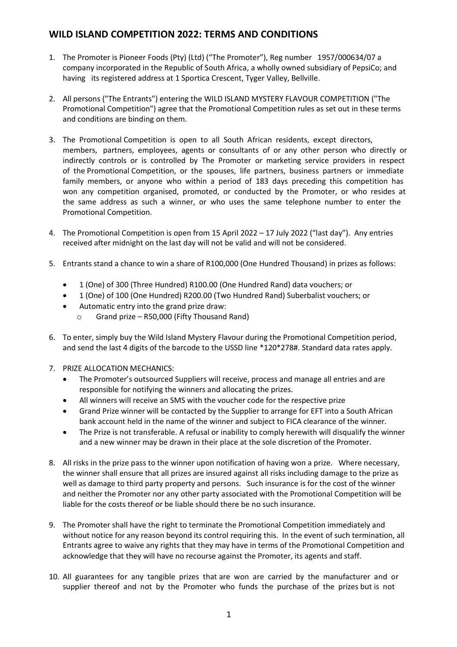## **WILD ISLAND COMPETITION 2022: TERMS AND CONDITIONS**

- 1. The Promoter is Pioneer Foods (Pty) (Ltd) ("The Promoter"), Reg number 1957/000634/07 a company incorporated in the Republic of South Africa, a wholly owned subsidiary of PepsiCo; and having its registered address at 1 Sportica Crescent, Tyger Valley, Bellville.
- 2. All persons ("The Entrants") entering the WILD ISLAND MYSTERY FLAVOUR COMPETITION ("The Promotional Competition") agree that the Promotional Competition rules as set out in these terms and conditions are binding on them.
- 3. The Promotional Competition is open to all South African residents, except directors, members, partners, employees, agents or consultants of or any other person who directly or indirectly controls or is controlled by The Promoter or marketing service providers in respect of the Promotional Competition, or the spouses, life partners, business partners or immediate family members, or anyone who within a period of 183 days preceding this competition has won any competition organised, promoted, or conducted by the Promoter, or who resides at the same address as such a winner, or who uses the same telephone number to enter the Promotional Competition.
- 4. The Promotional Competition is open from 15 April 2022 17 July 2022 ("last day"). Any entries received after midnight on the last day will not be valid and will not be considered.
- 5. Entrants stand a chance to win a share of R100,000 (One Hundred Thousand) in prizes as follows:
	- 1 (One) of 300 (Three Hundred) R100.00 (One Hundred Rand) data vouchers; or
	- 1 (One) of 100 (One Hundred) R200.00 (Two Hundred Rand) Suberbalist vouchers; or
	- Automatic entry into the grand prize draw:
		- o Grand prize R50,000 (Fifty Thousand Rand)
- 6. To enter, simply buy the Wild Island Mystery Flavour during the Promotional Competition period, and send the last 4 digits of the barcode to the USSD line \*120\*278#. Standard data rates apply.
- 7. PRIZE ALLOCATION MECHANICS:
	- The Promoter's outsourced Suppliers will receive, process and manage all entries and are responsible for notifying the winners and allocating the prizes.
	- All winners will receive an SMS with the voucher code for the respective prize
	- Grand Prize winner will be contacted by the Supplier to arrange for EFT into a South African bank account held in the name of the winner and subject to FICA clearance of the winner.
	- The Prize is not transferable. A refusal or inability to comply herewith will disqualify the winner and a new winner may be drawn in their place at the sole discretion of the Promoter.
- 8. All risks in the prize pass to the winner upon notification of having won a prize. Where necessary, the winner shall ensure that all prizes are insured against all risks including damage to the prize as well as damage to third party property and persons. Such insurance is for the cost of the winner and neither the Promoter nor any other party associated with the Promotional Competition will be liable for the costs thereof or be liable should there be no such insurance.
- 9. The Promoter shall have the right to terminate the Promotional Competition immediately and without notice for any reason beyond its control requiring this. In the event of such termination, all Entrants agree to waive any rights that they may have in terms of the Promotional Competition and acknowledge that they will have no recourse against the Promoter, its agents and staff.
- 10. All guarantees for any tangible prizes that are won are carried by the manufacturer and or supplier thereof and not by the Promoter who funds the purchase of the prizes but is not